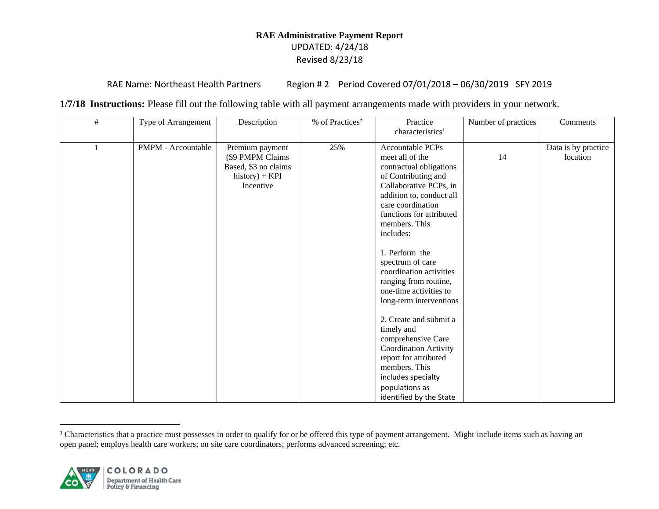RAE Name: Northeast Health Partners Region # 2 Period Covered 07/01/2018 - 06/30/2019 SFY 2019

**1/7/18 Instructions:** Please fill out the following table with all payment arrangements made with providers in your network.

| # | Type of Arrangement | Description                                                                                  | % of Practices* | Practice<br>characteristics <sup>1</sup>                                                                                                                                                                                                                                                                                                                                                                                                                                                                                                                  | Number of practices | Comments                        |
|---|---------------------|----------------------------------------------------------------------------------------------|-----------------|-----------------------------------------------------------------------------------------------------------------------------------------------------------------------------------------------------------------------------------------------------------------------------------------------------------------------------------------------------------------------------------------------------------------------------------------------------------------------------------------------------------------------------------------------------------|---------------------|---------------------------------|
|   | PMPM - Accountable  | Premium payment<br>(\$9 PMPM Claims<br>Based, \$3 no claims<br>$history) + KPI$<br>Incentive | 25%             | <b>Accountable PCPs</b><br>meet all of the<br>contractual obligations<br>of Contributing and<br>Collaborative PCPs, in<br>addition to, conduct all<br>care coordination<br>functions for attributed<br>members. This<br>includes:<br>1. Perform the<br>spectrum of care<br>coordination activities<br>ranging from routine,<br>one-time activities to<br>long-term interventions<br>2. Create and submit a<br>timely and<br>comprehensive Care<br>Coordination Activity<br>report for attributed<br>members. This<br>includes specialty<br>populations as | 14                  | Data is by practice<br>location |
|   |                     |                                                                                              |                 | identified by the State                                                                                                                                                                                                                                                                                                                                                                                                                                                                                                                                   |                     |                                 |

<sup>&</sup>lt;sup>1</sup> Characteristics that a practice must possesses in order to qualify for or be offered this type of payment arrangement. Might include items such as having an open panel; employs health care workers; on site care coordinators; performs advanced screening; etc.

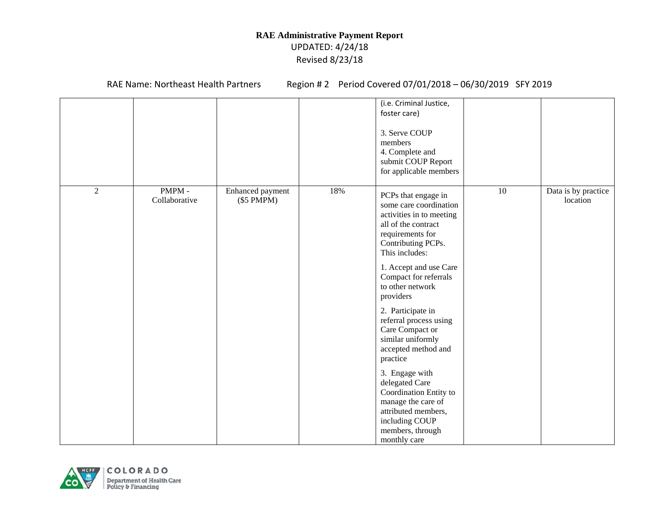RAE Name: Northeast Health Partners Region # 2 Period Covered 07/01/2018 - 06/30/2019 SFY 2019

|            |                        |                                     |     | (i.e. Criminal Justice,<br>foster care)                                                                                                       |    |                                 |
|------------|------------------------|-------------------------------------|-----|-----------------------------------------------------------------------------------------------------------------------------------------------|----|---------------------------------|
|            |                        |                                     |     | 3. Serve COUP<br>members<br>4. Complete and<br>submit COUP Report<br>for applicable members                                                   |    |                                 |
| $\sqrt{2}$ | PMPM-<br>Collaborative | Enhanced payment<br>$(\$5$ PMPM $)$ | 18% | PCPs that engage in<br>some care coordination                                                                                                 | 10 | Data is by practice<br>location |
|            |                        |                                     |     | activities in to meeting<br>all of the contract<br>requirements for<br>Contributing PCPs.<br>This includes:                                   |    |                                 |
|            |                        |                                     |     | 1. Accept and use Care<br>Compact for referrals<br>to other network<br>providers                                                              |    |                                 |
|            |                        |                                     |     | 2. Participate in<br>referral process using<br>Care Compact or<br>similar uniformly<br>accepted method and<br>practice                        |    |                                 |
|            |                        |                                     |     | 3. Engage with<br>delegated Care<br>Coordination Entity to<br>manage the care of<br>attributed members,<br>including COUP<br>members, through |    |                                 |
|            |                        |                                     |     | monthly care                                                                                                                                  |    |                                 |

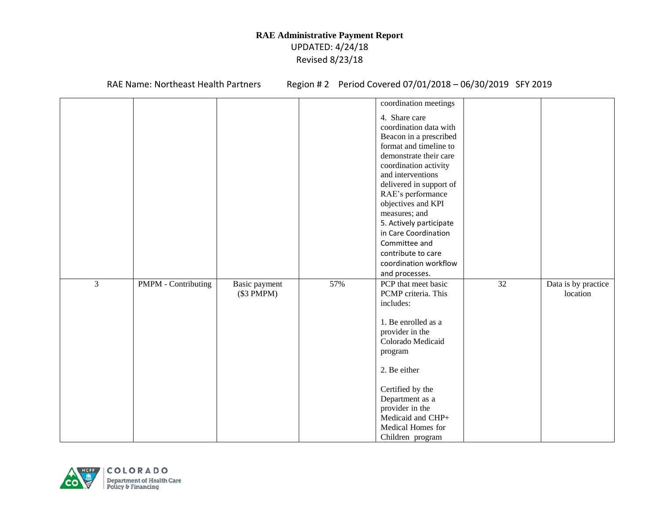RAE Name: Northeast Health Partners Region # 2 Period Covered 07/01/2018 - 06/30/2019 SFY 2019

|   |                     |               |     | coordination meetings   |    |                     |
|---|---------------------|---------------|-----|-------------------------|----|---------------------|
|   |                     |               |     | 4. Share care           |    |                     |
|   |                     |               |     | coordination data with  |    |                     |
|   |                     |               |     | Beacon in a prescribed  |    |                     |
|   |                     |               |     | format and timeline to  |    |                     |
|   |                     |               |     | demonstrate their care  |    |                     |
|   |                     |               |     | coordination activity   |    |                     |
|   |                     |               |     | and interventions       |    |                     |
|   |                     |               |     | delivered in support of |    |                     |
|   |                     |               |     | RAE's performance       |    |                     |
|   |                     |               |     | objectives and KPI      |    |                     |
|   |                     |               |     | measures; and           |    |                     |
|   |                     |               |     | 5. Actively participate |    |                     |
|   |                     |               |     | in Care Coordination    |    |                     |
|   |                     |               |     | Committee and           |    |                     |
|   |                     |               |     | contribute to care      |    |                     |
|   |                     |               |     | coordination workflow   |    |                     |
|   |                     |               |     | and processes.          |    |                     |
| 3 | PMPM - Contributing | Basic payment | 57% | PCP that meet basic     | 32 | Data is by practice |
|   |                     | (\$3 PMPM)    |     | PCMP criteria. This     |    | location            |
|   |                     |               |     | includes:               |    |                     |
|   |                     |               |     | 1. Be enrolled as a     |    |                     |
|   |                     |               |     | provider in the         |    |                     |
|   |                     |               |     | Colorado Medicaid       |    |                     |
|   |                     |               |     | program                 |    |                     |
|   |                     |               |     |                         |    |                     |
|   |                     |               |     | 2. Be either            |    |                     |
|   |                     |               |     | Certified by the        |    |                     |
|   |                     |               |     | Department as a         |    |                     |
|   |                     |               |     | provider in the         |    |                     |
|   |                     |               |     | Medicaid and CHP+       |    |                     |
|   |                     |               |     | Medical Homes for       |    |                     |
|   |                     |               |     | Children program        |    |                     |

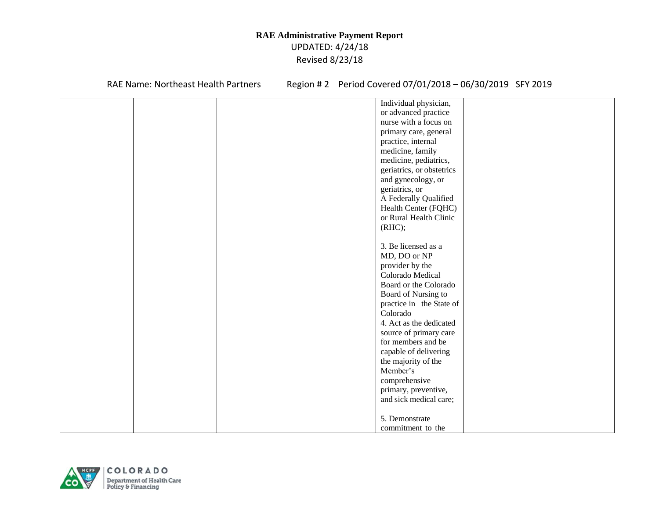RAE Name: Northeast Health Partners Region # 2 Period Covered 07/01/2018 - 06/30/2019 SFY 2019

|  | Individual physician,     |  |
|--|---------------------------|--|
|  | or advanced practice      |  |
|  | nurse with a focus on     |  |
|  | primary care, general     |  |
|  | practice, internal        |  |
|  | medicine, family          |  |
|  | medicine, pediatrics,     |  |
|  | geriatrics, or obstetrics |  |
|  | and gynecology, or        |  |
|  | geriatrics, or            |  |
|  | A Federally Qualified     |  |
|  | Health Center (FQHC)      |  |
|  | or Rural Health Clinic    |  |
|  | (RHC);                    |  |
|  |                           |  |
|  | 3. Be licensed as a       |  |
|  | MD, DO or NP              |  |
|  | provider by the           |  |
|  | Colorado Medical          |  |
|  | Board or the Colorado     |  |
|  | Board of Nursing to       |  |
|  | practice in the State of  |  |
|  | Colorado                  |  |
|  | 4. Act as the dedicated   |  |
|  | source of primary care    |  |
|  | for members and be        |  |
|  | capable of delivering     |  |
|  | the majority of the       |  |
|  | Member's                  |  |
|  |                           |  |
|  | comprehensive             |  |
|  | primary, preventive,      |  |
|  | and sick medical care;    |  |
|  |                           |  |
|  | 5. Demonstrate            |  |
|  | commitment to the         |  |